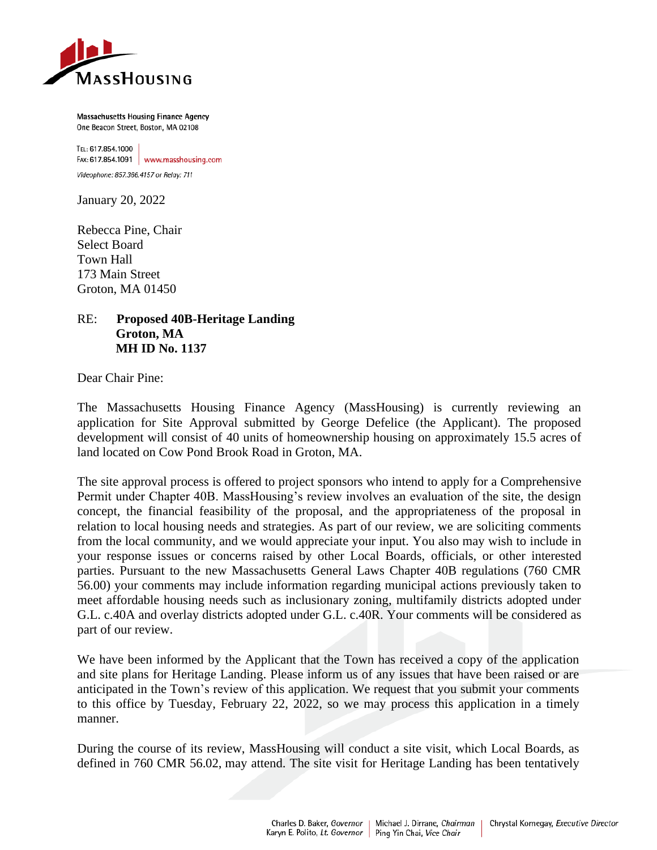

Massachusetts Housing Finance Agency One Beacon Street, Boston, MA 02108

TEL: 617.854.1000 FAX:  $617.854.1091$  www.masshousing.com Videophone: 857.366.4157 or Relay: 711

January 20, 2022

Rebecca Pine, Chair Select Board Town Hall 173 Main Street Groton, MA 01450

## RE: **Proposed 40B-Heritage Landing Groton, MA MH ID No. 1137**

Dear Chair Pine:

The Massachusetts Housing Finance Agency (MassHousing) is currently reviewing an application for Site Approval submitted by George Defelice (the Applicant). The proposed development will consist of 40 units of homeownership housing on approximately 15.5 acres of land located on Cow Pond Brook Road in Groton, MA.

The site approval process is offered to project sponsors who intend to apply for a Comprehensive Permit under Chapter 40B. MassHousing's review involves an evaluation of the site, the design concept, the financial feasibility of the proposal, and the appropriateness of the proposal in relation to local housing needs and strategies. As part of our review, we are soliciting comments from the local community, and we would appreciate your input. You also may wish to include in your response issues or concerns raised by other Local Boards, officials, or other interested parties. Pursuant to the new Massachusetts General Laws Chapter 40B regulations (760 CMR 56.00) your comments may include information regarding municipal actions previously taken to meet affordable housing needs such as inclusionary zoning, multifamily districts adopted under G.L. c.40A and overlay districts adopted under G.L. c.40R. Your comments will be considered as part of our review.

We have been informed by the Applicant that the Town has received a copy of the application and site plans for Heritage Landing. Please inform us of any issues that have been raised or are anticipated in the Town's review of this application. We request that you submit your comments to this office by Tuesday, February 22, 2022, so we may process this application in a timely manner.

During the course of its review, MassHousing will conduct a site visit, which Local Boards, as defined in 760 CMR 56.02, may attend. The site visit for Heritage Landing has been tentatively